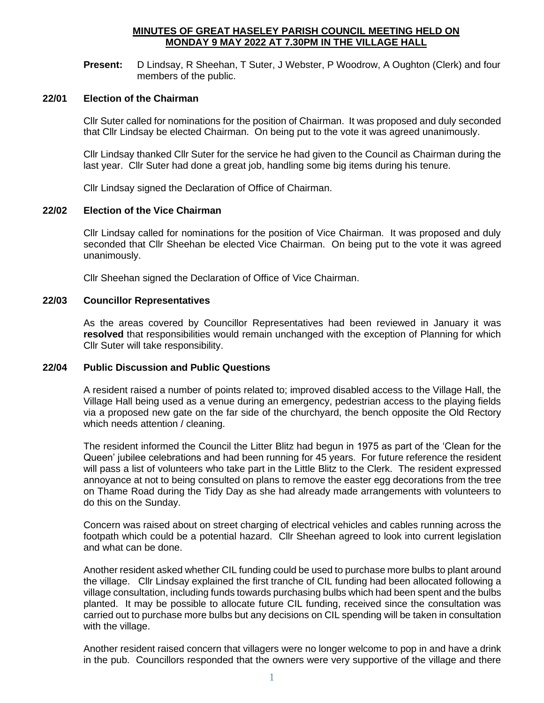### **MINUTES OF GREAT HASELEY PARISH COUNCIL MEETING HELD ON MONDAY 9 MAY 2022 AT 7.30PM IN THE VILLAGE HALL**

**Present:** D Lindsay, R Sheehan, T Suter, J Webster, P Woodrow, A Oughton (Clerk) and four members of the public.

#### **22/01 Election of the Chairman**

Cllr Suter called for nominations for the position of Chairman. It was proposed and duly seconded that Cllr Lindsay be elected Chairman. On being put to the vote it was agreed unanimously.

Cllr Lindsay thanked Cllr Suter for the service he had given to the Council as Chairman during the last year. Cllr Suter had done a great job, handling some big items during his tenure.

Cllr Lindsay signed the Declaration of Office of Chairman.

#### **22/02 Election of the Vice Chairman**

Cllr Lindsay called for nominations for the position of Vice Chairman. It was proposed and duly seconded that Cllr Sheehan be elected Vice Chairman. On being put to the vote it was agreed unanimously.

Cllr Sheehan signed the Declaration of Office of Vice Chairman.

#### **22/03 Councillor Representatives**

As the areas covered by Councillor Representatives had been reviewed in January it was **resolved** that responsibilities would remain unchanged with the exception of Planning for which Cllr Suter will take responsibility.

### **22/04 Public Discussion and Public Questions**

A resident raised a number of points related to; improved disabled access to the Village Hall, the Village Hall being used as a venue during an emergency, pedestrian access to the playing fields via a proposed new gate on the far side of the churchyard, the bench opposite the Old Rectory which needs attention / cleaning.

The resident informed the Council the Litter Blitz had begun in 1975 as part of the 'Clean for the Queen' jubilee celebrations and had been running for 45 years. For future reference the resident will pass a list of volunteers who take part in the Little Blitz to the Clerk. The resident expressed annoyance at not to being consulted on plans to remove the easter egg decorations from the tree on Thame Road during the Tidy Day as she had already made arrangements with volunteers to do this on the Sunday.

Concern was raised about on street charging of electrical vehicles and cables running across the footpath which could be a potential hazard. Cllr Sheehan agreed to look into current legislation and what can be done.

Another resident asked whether CIL funding could be used to purchase more bulbs to plant around the village. Cllr Lindsay explained the first tranche of CIL funding had been allocated following a village consultation, including funds towards purchasing bulbs which had been spent and the bulbs planted. It may be possible to allocate future CIL funding, received since the consultation was carried out to purchase more bulbs but any decisions on CIL spending will be taken in consultation with the village.

Another resident raised concern that villagers were no longer welcome to pop in and have a drink in the pub. Councillors responded that the owners were very supportive of the village and there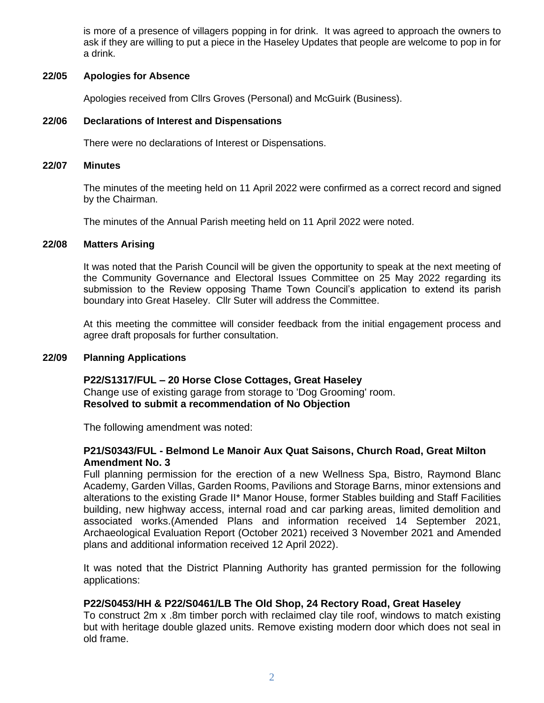is more of a presence of villagers popping in for drink. It was agreed to approach the owners to ask if they are willing to put a piece in the Haseley Updates that people are welcome to pop in for a drink.

### **22/05 Apologies for Absence**

Apologies received from Cllrs Groves (Personal) and McGuirk (Business).

# **22/06 Declarations of Interest and Dispensations**

There were no declarations of Interest or Dispensations.

#### **22/07 Minutes**

The minutes of the meeting held on 11 April 2022 were confirmed as a correct record and signed by the Chairman.

The minutes of the Annual Parish meeting held on 11 April 2022 were noted.

### **22/08 Matters Arising**

It was noted that the Parish Council will be given the opportunity to speak at the next meeting of the Community Governance and Electoral Issues Committee on 25 May 2022 regarding its submission to the Review opposing Thame Town Council's application to extend its parish boundary into Great Haseley. Cllr Suter will address the Committee.

At this meeting the committee will consider feedback from the initial engagement process and agree draft proposals for further consultation.

### **22/09 Planning Applications**

**P22/S1317/FUL – 20 Horse Close Cottages, Great Haseley** Change use of existing garage from storage to 'Dog Grooming' room. **Resolved to submit a recommendation of No Objection**

The following amendment was noted:

# **P21/S0343/FUL - Belmond Le Manoir Aux Quat Saisons, Church Road, Great Milton Amendment No. 3**

Full planning permission for the erection of a new Wellness Spa, Bistro, Raymond Blanc Academy, Garden Villas, Garden Rooms, Pavilions and Storage Barns, minor extensions and alterations to the existing Grade II\* Manor House, former Stables building and Staff Facilities building, new highway access, internal road and car parking areas, limited demolition and associated works.(Amended Plans and information received 14 September 2021, Archaeological Evaluation Report (October 2021) received 3 November 2021 and Amended plans and additional information received 12 April 2022).

It was noted that the District Planning Authority has granted permission for the following applications:

### **P22/S0453/HH & P22/S0461/LB The Old Shop, 24 Rectory Road, Great Haseley**

To construct 2m x .8m timber porch with reclaimed clay tile roof, windows to match existing but with heritage double glazed units. Remove existing modern door which does not seal in old frame.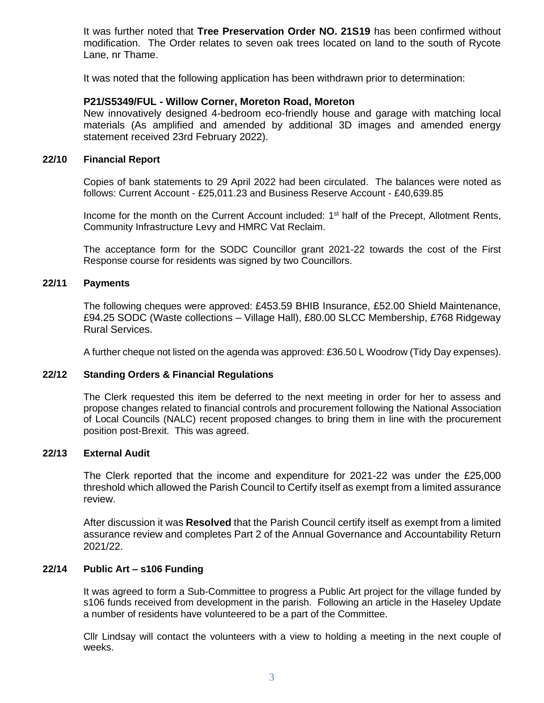It was further noted that **Tree Preservation Order NO. 21S19** has been confirmed without modification. The Order relates to seven oak trees located on land to the south of Rycote Lane, nr Thame.

It was noted that the following application has been withdrawn prior to determination:

# **P21/S5349/FUL - Willow Corner, Moreton Road, Moreton**

New innovatively designed 4-bedroom eco-friendly house and garage with matching local materials (As amplified and amended by additional 3D images and amended energy statement received 23rd February 2022).

# **22/10 Financial Report**

Copies of bank statements to 29 April 2022 had been circulated. The balances were noted as follows: Current Account - £25,011.23 and Business Reserve Account - £40,639.85

Income for the month on the Current Account included: 1<sup>st</sup> half of the Precept, Allotment Rents, Community Infrastructure Levy and HMRC Vat Reclaim.

The acceptance form for the SODC Councillor grant 2021-22 towards the cost of the First Response course for residents was signed by two Councillors.

### **22/11 Payments**

The following cheques were approved: £453.59 BHIB Insurance, £52.00 Shield Maintenance, £94.25 SODC (Waste collections – Village Hall), £80.00 SLCC Membership, £768 Ridgeway Rural Services.

A further cheque not listed on the agenda was approved: £36.50 L Woodrow (Tidy Day expenses).

### **22/12 Standing Orders & Financial Regulations**

The Clerk requested this item be deferred to the next meeting in order for her to assess and propose changes related to financial controls and procurement following the National Association of Local Councils (NALC) recent proposed changes to bring them in line with the procurement position post-Brexit. This was agreed.

### **22/13 External Audit**

The Clerk reported that the income and expenditure for 2021-22 was under the £25,000 threshold which allowed the Parish Council to Certify itself as exempt from a limited assurance review.

After discussion it was **Resolved** that the Parish Council certify itself as exempt from a limited assurance review and completes Part 2 of the Annual Governance and Accountability Return 2021/22.

# **22/14 Public Art – s106 Funding**

It was agreed to form a Sub-Committee to progress a Public Art project for the village funded by s106 funds received from development in the parish. Following an article in the Haseley Update a number of residents have volunteered to be a part of the Committee.

Cllr Lindsay will contact the volunteers with a view to holding a meeting in the next couple of weeks.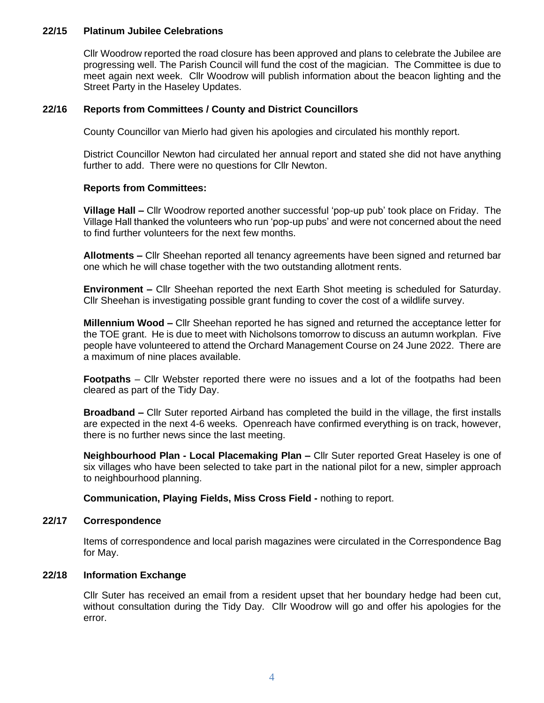## **22/15 Platinum Jubilee Celebrations**

Cllr Woodrow reported the road closure has been approved and plans to celebrate the Jubilee are progressing well. The Parish Council will fund the cost of the magician. The Committee is due to meet again next week. Cllr Woodrow will publish information about the beacon lighting and the Street Party in the Haseley Updates.

# **22/16 Reports from Committees / County and District Councillors**

County Councillor van Mierlo had given his apologies and circulated his monthly report.

District Councillor Newton had circulated her annual report and stated she did not have anything further to add. There were no questions for Cllr Newton.

# **Reports from Committees:**

**Village Hall –** Cllr Woodrow reported another successful 'pop-up pub' took place on Friday. The Village Hall thanked the volunteers who run 'pop-up pubs' and were not concerned about the need to find further volunteers for the next few months.

**Allotments –** Cllr Sheehan reported all tenancy agreements have been signed and returned bar one which he will chase together with the two outstanding allotment rents.

**Environment –** Cllr Sheehan reported the next Earth Shot meeting is scheduled for Saturday. Cllr Sheehan is investigating possible grant funding to cover the cost of a wildlife survey.

**Millennium Wood –** Cllr Sheehan reported he has signed and returned the acceptance letter for the TOE grant. He is due to meet with Nicholsons tomorrow to discuss an autumn workplan. Five people have volunteered to attend the Orchard Management Course on 24 June 2022. There are a maximum of nine places available.

**Footpaths** – Cllr Webster reported there were no issues and a lot of the footpaths had been cleared as part of the Tidy Day.

**Broadband –** Cllr Suter reported Airband has completed the build in the village, the first installs are expected in the next 4-6 weeks. Openreach have confirmed everything is on track, however, there is no further news since the last meeting.

**Neighbourhood Plan - Local Placemaking Plan –** Cllr Suter reported Great Haseley is one of six villages who have been selected to take part in the national pilot for a new, simpler approach to neighbourhood planning.

**Communication, Playing Fields, Miss Cross Field -** nothing to report.

### **22/17 Correspondence**

Items of correspondence and local parish magazines were circulated in the Correspondence Bag for May.

### **22/18 Information Exchange**

Cllr Suter has received an email from a resident upset that her boundary hedge had been cut, without consultation during the Tidy Day. Cllr Woodrow will go and offer his apologies for the error.